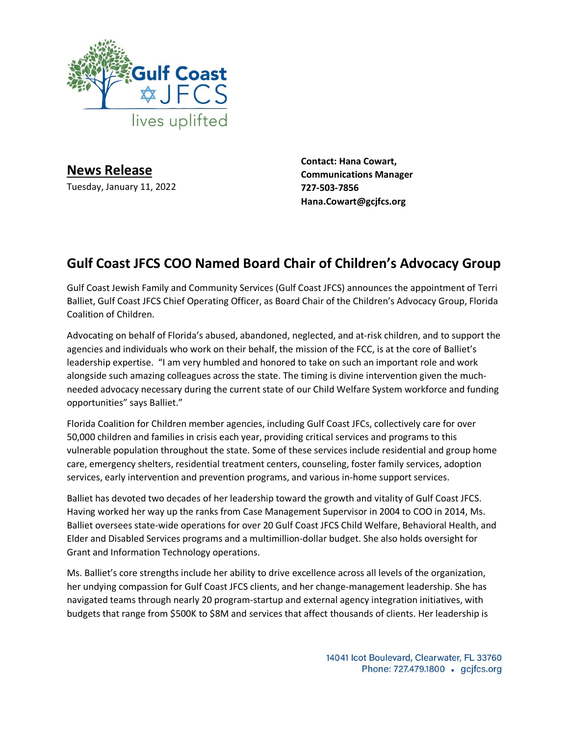

**News Release** Tuesday, January 11, 2022

**Contact: Hana Cowart, Communications Manager 727-503-7856 Hana.Cowart@gcjfcs.org**

## **Gulf Coast JFCS COO Named Board Chair of Children's Advocacy Group**

Gulf Coast Jewish Family and Community Services (Gulf Coast JFCS) announces the appointment of Terri Balliet, Gulf Coast JFCS Chief Operating Officer, as Board Chair of the Children's Advocacy Group, Florida Coalition of Children.

Advocating on behalf of Florida's abused, abandoned, neglected, and at-risk children, and to support the agencies and individuals who work on their behalf, the mission of the FCC, is at the core of Balliet's leadership expertise. "I am very humbled and honored to take on such an important role and work alongside such amazing colleagues across the state. The timing is divine intervention given the muchneeded advocacy necessary during the current state of our Child Welfare System workforce and funding opportunities" says Balliet."

Florida Coalition for Children member agencies, including Gulf Coast JFCs, collectively care for over 50,000 children and families in crisis each year, providing critical services and programs to this vulnerable population throughout the state. Some of these services include residential and group home care, emergency shelters, residential treatment centers, counseling, foster family services, adoption services, early intervention and prevention programs, and various in-home support services.

Balliet has devoted two decades of her leadership toward the growth and vitality of Gulf Coast JFCS. Having worked her way up the ranks from Case Management Supervisor in 2004 to COO in 2014, Ms. Balliet oversees state-wide operations for over 20 Gulf Coast JFCS Child Welfare, Behavioral Health, and Elder and Disabled Services programs and a multimillion-dollar budget. She also holds oversight for Grant and Information Technology operations.

Ms. Balliet's core strengths include her ability to drive excellence across all levels of the organization, her undying compassion for Gulf Coast JFCS clients, and her change-management leadership. She has navigated teams through nearly 20 program-startup and external agency integration initiatives, with budgets that range from \$500K to \$8M and services that affect thousands of clients. Her leadership is